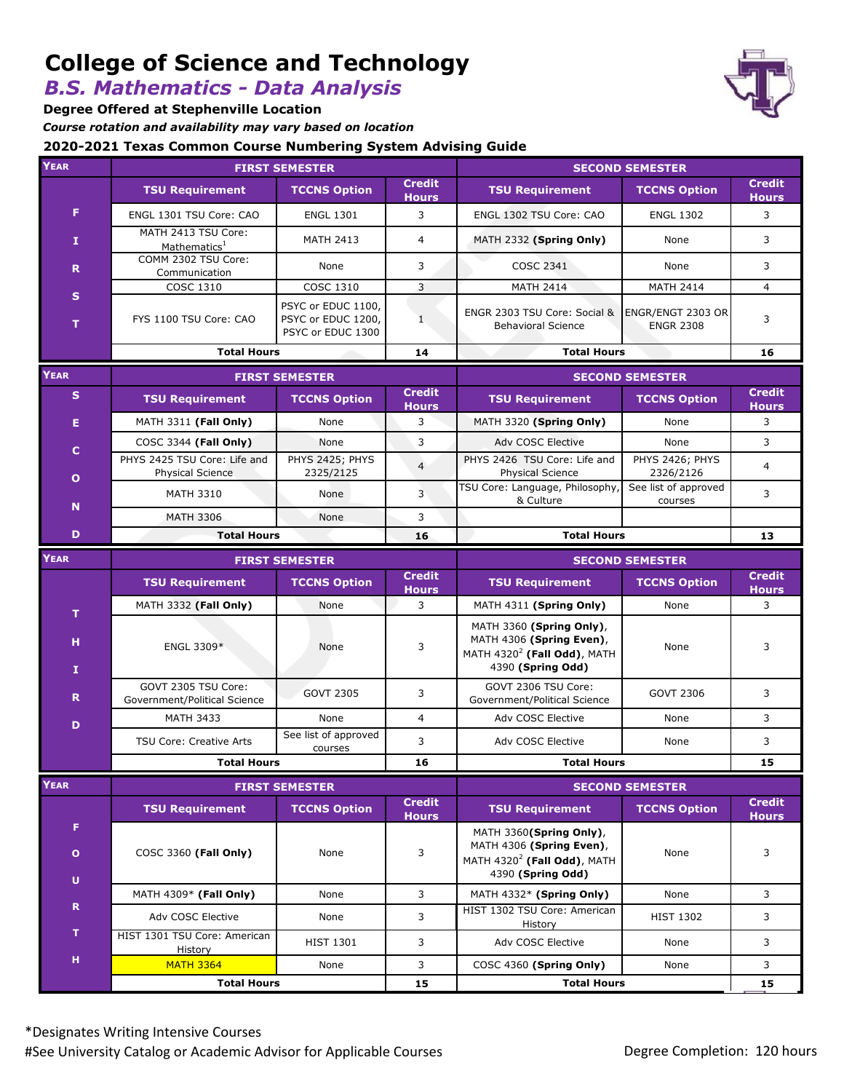## **College of Science and Technology**

*B.S. Mathematics - Data Analysis*

**Degree Offered at Stephenville Location**

*Course rotation and availability may vary based on location*

**2020-2021 Texas Common Course Numbering System Advising Guide**

| <b>YEAR</b>       | <b>FIRST SEMESTER</b>                               |                                                               |                               | <b>SECOND SEMESTER</b>                                                                                      |                                       |                               |
|-------------------|-----------------------------------------------------|---------------------------------------------------------------|-------------------------------|-------------------------------------------------------------------------------------------------------------|---------------------------------------|-------------------------------|
|                   | <b>TSU Requirement</b>                              | <b>TCCNS Option</b>                                           | <b>Credit</b><br><b>Hours</b> | <b>TSU Requirement</b>                                                                                      | <b>TCCNS Option</b>                   | <b>Credit</b><br><b>Hours</b> |
| F                 | ENGL 1301 TSU Core: CAO                             | <b>ENGL 1301</b>                                              | 3                             | ENGL 1302 TSU Core: CAO                                                                                     | <b>ENGL 1302</b>                      | 3                             |
| Ι.                | MATH 2413 TSU Core:<br>Mathematics <sup>1</sup>     | <b>MATH 2413</b>                                              | $\overline{4}$                | MATH 2332 (Spring Only)                                                                                     | None                                  | 3                             |
| R                 | COMM 2302 TSU Core:<br>Communication                | None                                                          | 3                             | COSC 2341                                                                                                   | None                                  | 3                             |
|                   | <b>COSC 1310</b>                                    | COSC 1310                                                     | 3                             | <b>MATH 2414</b>                                                                                            | <b>MATH 2414</b>                      | $\overline{4}$                |
| $\mathbf{s}$<br>т | FYS 1100 TSU Core: CAO                              | PSYC or EDUC 1100,<br>PSYC or EDUC 1200,<br>PSYC or EDUC 1300 | $\mathbf{1}$                  | ENGR 2303 TSU Core: Social &<br><b>Behavioral Science</b>                                                   | ENGR/ENGT 2303 OR<br><b>ENGR 2308</b> | 3                             |
|                   | <b>Total Hours</b>                                  |                                                               | 14                            | <b>Total Hours</b>                                                                                          |                                       | 16                            |
| <b>YEAR</b>       | <b>FIRST SEMESTER</b>                               |                                                               |                               | <b>SECOND SEMESTER</b>                                                                                      |                                       |                               |
| $\mathbf{s}$      | <b>TSU Requirement</b>                              | <b>TCCNS Option</b>                                           | <b>Credit</b><br><b>Hours</b> | <b>TSU Requirement</b>                                                                                      | <b>TCCNS Option</b>                   | <b>Credit</b><br><b>Hours</b> |
| Е                 | MATH 3311 (Fall Only)                               | None                                                          | 3                             | MATH 3320 (Spring Only)                                                                                     | None                                  | 3                             |
| $\mathbf C$       | COSC 3344 (Fall Only)                               | None                                                          | 3                             | Adv COSC Elective                                                                                           | None                                  | 3                             |
| $\mathbf{o}$      | PHYS 2425 TSU Core: Life and<br>Physical Science    | PHYS 2425; PHYS<br>2325/2125                                  | $\overline{4}$                | PHYS 2426 TSU Core: Life and<br><b>Physical Science</b>                                                     | PHYS 2426; PHYS<br>2326/2126          | $\overline{4}$                |
| N                 | <b>MATH 3310</b>                                    | None                                                          | 3                             | TSU Core: Language, Philosophy,<br>& Culture                                                                | See list of approved<br>courses       | 3                             |
|                   | <b>MATH 3306</b>                                    | None                                                          | 3                             |                                                                                                             |                                       |                               |
| D                 | <b>Total Hours</b><br>16                            |                                                               |                               | <b>Total Hours</b>                                                                                          |                                       | 13                            |
| YEAR              | <b>FIRST SEMESTER</b>                               |                                                               |                               | <b>SECOND SEMESTER</b>                                                                                      |                                       |                               |
|                   | <b>TSU Requirement</b>                              | <b>TCCNS Option</b>                                           | <b>Credit</b><br><b>Hours</b> | <b>TSU Requirement</b>                                                                                      | <b>TCCNS Option</b>                   | <b>Credit</b><br><b>Hours</b> |
| т                 | MATH 3332 (Fall Only)                               | None                                                          | 3                             | MATH 4311 (Spring Only)                                                                                     | None                                  | 3                             |
| н<br>1            | ENGL 3309*                                          | None                                                          | 3                             | MATH 3360 (Spring Only),<br>MATH 4306 (Spring Even),<br>MATH $4320^2$ (Fall Odd), MATH<br>4390 (Spring Odd) | None                                  | 3                             |
| R                 | GOVT 2305 TSU Core:<br>Government/Political Science | <b>GOVT 2305</b>                                              | 3                             | GOVT 2306 TSU Core:<br>Government/Political Science                                                         | GOVT 2306                             | 3                             |
| D                 | <b>MATH 3433</b>                                    | None                                                          | $\overline{4}$                | Adv COSC Elective                                                                                           | None                                  | 3                             |
|                   | <b>TSU Core: Creative Arts</b>                      | See list of approved<br>courses                               | 3                             | Adv COSC Elective                                                                                           | None                                  | 3                             |
|                   | <b>Total Hours</b><br>16                            |                                                               |                               | <b>Total Hours</b>                                                                                          |                                       | 15                            |
| <b>YEAR</b>       | <b>FIRST SEMESTER</b>                               |                                                               |                               | <b>SECOND SEMESTER</b>                                                                                      |                                       |                               |
|                   | <b>TSU Requirement</b>                              | <b>TCCNS Option</b>                                           | <b>Credit</b>                 | <b>TSU Requirement</b>                                                                                      | <b>TCCNS Option</b>                   | <b>Credit</b>                 |
| F<br>$\mathbf{o}$ | COSC 3360 (Fall Only)                               | None                                                          | <b>Hours</b><br>3             | MATH 3360(Spring Only),<br>MATH 4306 (Spring Even),<br>MATH $4320^2$ (Fall Odd), MATH                       | None                                  | <b>Hours</b><br>3             |
| U                 |                                                     |                                                               |                               | 4390 (Spring Odd)                                                                                           |                                       |                               |
| $\mathbf R$       | MATH 4309* (Fall Only)                              | None                                                          | 3                             | MATH 4332* (Spring Only)<br>HIST 1302 TSU Core: American                                                    | None                                  | 3                             |
| T                 | Adv COSC Elective                                   | None                                                          | 3                             | History                                                                                                     | <b>HIST 1302</b>                      | 3                             |
|                   | HIST 1301 TSU Core: American<br>History             | <b>HIST 1301</b>                                              | 3                             | Adv COSC Elective                                                                                           | None                                  | 3                             |
| н                 | <b>MATH 3364</b>                                    | None                                                          | 3                             | COSC 4360 (Spring Only)                                                                                     | None                                  | 3                             |
|                   | <b>Total Hours</b>                                  |                                                               | 15                            | <b>Total Hours</b>                                                                                          |                                       | 15                            |

\*Designates Writing Intensive Courses #See University Catalog or Academic Advisor for Applicable Courses **Degree Completion: 120 hours**